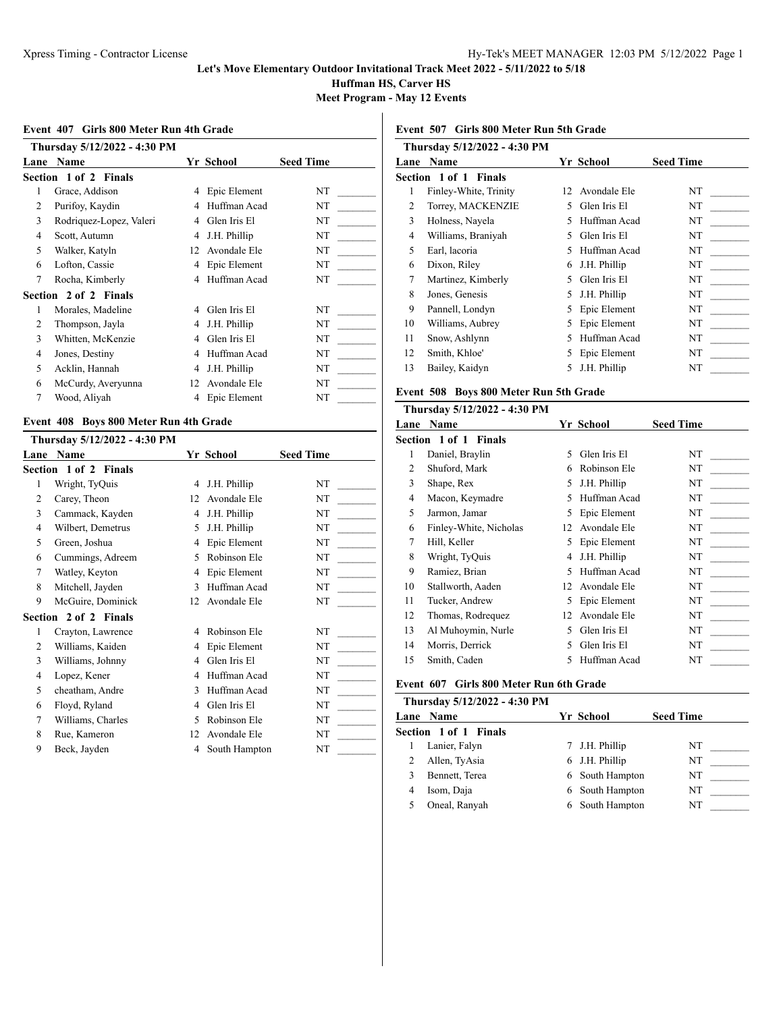# **Let's Move Elementary Outdoor Invitational Track Meet 2022 - 5/11/2022 to 5/18**

**Huffman HS, Carver HS**

**Meet Program - May 12 Events**

#### **Event 407 Girls 800 Meter Run 4th Grade**

|      | Thursday 5/12/2022 - 4:30 PM |    |              |                  |
|------|------------------------------|----|--------------|------------------|
| Lane | <b>Name</b>                  |    | Yr School    | <b>Seed Time</b> |
|      | Section 1 of 2 Finals        |    |              |                  |
| 1    | Grace, Addison               | 4  | Epic Element | NT               |
| 2    | Purifoy, Kaydin              | 4  | Huffman Acad | NT               |
| 3    | Rodriquez-Lopez, Valeri      | 4  | Glen Iris El | NT               |
| 4    | Scott, Autumn                | 4  | J.H. Phillip | NT               |
| 5    | Walker, Katyln               | 12 | Avondale Ele | NT               |
| 6    | Lofton, Cassie               | 4  | Epic Element | NT               |
| 7    | Rocha, Kimberly              | 4  | Huffman Acad | NT               |
|      | Section 2 of 2 Finals        |    |              |                  |
| 1    | Morales, Madeline            | 4  | Glen Iris El | NT               |
| 2    | Thompson, Jayla              | 4  | J.H. Phillip | NT               |
| 3    | Whitten, McKenzie            | 4  | Glen Iris El | NT               |
| 4    | Jones, Destiny               | 4  | Huffman Acad | NT               |
| 5    | Acklin, Hannah               | 4  | J.H. Phillip | NT               |
| 6    | McCurdy, Averyunna           | 12 | Avondale Ele | NT               |
| 7    | Wood, Aliyah                 | 4  | Epic Element | NT               |

# **Event 408 Boys 800 Meter Run 4th Grade**

|                | Thursday 5/12/2022 - 4:30 PM |    |               |                  |
|----------------|------------------------------|----|---------------|------------------|
| Lane           | Name                         |    | Yr School     | <b>Seed Time</b> |
|                | Section 1 of 2 Finals        |    |               |                  |
| 1              | Wright, TyQuis               | 4  | J.H. Phillip  | NT               |
| $\overline{c}$ | Carey, Theon                 | 12 | Avondale Ele  | NT               |
| 3              | Cammack, Kayden              | 4  | J.H. Phillip  | NT               |
| 4              | Wilbert, Demetrus            | 5  | J.H. Phillip  | NT               |
| 5              | Green, Joshua                | 4  | Epic Element  | NT               |
| 6              | Cummings, Adreem             | 5  | Robinson Ele  | NT               |
| 7              | Watley, Keyton               | 4  | Epic Element  | NT               |
| 8              | Mitchell, Jayden             | 3  | Huffman Acad  | NT               |
| 9              | McGuire, Dominick            | 12 | Avondale Ele  | NT               |
|                | Section 2 of 2 Finals        |    |               |                  |
| 1              | Crayton, Lawrence            | 4  | Robinson Ele  | NT               |
| 2              | Williams, Kaiden             | 4  | Epic Element  | NT               |
| 3              | Williams, Johnny             | 4  | Glen Iris El  | NT               |
| 4              | Lopez, Kener                 | 4  | Huffman Acad  | NT               |
| 5              | cheatham, Andre              | 3  | Huffman Acad  | NT               |
| 6              | Floyd, Ryland                | 4  | Glen Iris El  | NT               |
| 7              | Williams, Charles            | 5  | Robinson Ele  | NT               |
| 8              | Rue, Kameron                 | 12 | Avondale Ele  | NT               |
| 9              | Beck, Jayden                 | 4  | South Hampton | NT               |

#### **Event 507 Girls 800 Meter Run 5th Grade**

|      | Thursday 5/12/2022 - 4:30 PM |    |              |                  |
|------|------------------------------|----|--------------|------------------|
| Lane | <b>Name</b>                  |    | Yr School    | <b>Seed Time</b> |
|      | <b>Section 1 of 1 Finals</b> |    |              |                  |
| 1    | Finley-White, Trinity        | 12 | Avondale Ele | NT               |
| 2    | Torrey, MACKENZIE            | 5  | Glen Iris El | NT               |
| 3    | Holness, Nayela              | 5  | Huffman Acad | NT               |
| 4    | Williams, Braniyah           | 5  | Glen Iris El | NT               |
| 5    | Earl, lacoria                | 5  | Huffman Acad | NT               |
| 6    | Dixon, Riley                 | 6  | J.H. Phillip | NT               |
| 7    | Martinez, Kimberly           | 5  | Glen Iris El | NT               |
| 8    | Jones, Genesis               | 5  | J.H. Phillip | NT               |
| 9    | Pannell, Londyn              | 5  | Epic Element | NT               |
| 10   | Williams, Aubrey             | 5  | Epic Element | NT               |
| 11   | Snow, Ashlynn                | 5  | Huffman Acad | NT               |
| 12   | Smith, Khloe'                | 5  | Epic Element | NT               |
| 13   | Bailey, Kaidyn               | 5  | J.H. Phillip | NT               |
|      |                              |    |              |                  |

#### **Event 508 Boys 800 Meter Run 5th Grade**

|      | Thursday 5/12/2022 - 4:30 PM |    |              |                  |
|------|------------------------------|----|--------------|------------------|
| Lane | Name                         |    | Yr School    | <b>Seed Time</b> |
|      | <b>Section 1 of 1 Finals</b> |    |              |                  |
| 1    | Daniel, Braylin              | 5  | Glen Iris El | NT               |
| 2    | Shuford, Mark                | 6  | Robinson Ele | NT               |
| 3    | Shape, Rex                   | 5  | J.H. Phillip | NT               |
| 4    | Macon, Keymadre              | 5  | Huffman Acad | NT               |
| 5    | Jarmon, Jamar                | 5  | Epic Element | NT               |
| 6    | Finley-White, Nicholas       | 12 | Avondale Ele | NT               |
| 7    | Hill, Keller                 | 5  | Epic Element | NT               |
| 8    | Wright, TyQuis               | 4  | J.H. Phillip | NT               |
| 9    | Ramiez, Brian                | 5  | Huffman Acad | NT               |
| 10   | Stallworth, Aaden            | 12 | Avondale Ele | NT               |
| 11   | Tucker, Andrew               | 5  | Epic Element | NT               |
| 12   | Thomas, Rodrequez            | 12 | Avondale Ele | NT               |
| 13   | Al Muhoymin, Nurle           | 5  | Glen Iris El | NT               |
| 14   | Morris, Derrick              | 5  | Glen Iris El | NT               |
| 15   | Smith, Caden                 | 5  | Huffman Acad | NT               |

#### **Event 607 Girls 800 Meter Run 6th Grade**

|   | Thursday 5/12/2022 - 4:30 PM |                 |                  |  |
|---|------------------------------|-----------------|------------------|--|
|   | <b>Lane Name</b>             | Yr School       | <b>Seed Time</b> |  |
|   | Section 1 of 1 Finals        |                 |                  |  |
|   | Lanier, Falyn                | 7 J.H. Phillip  | NT               |  |
|   | Allen, TyAsia                | 6 J.H. Phillip  | NT               |  |
|   | Bennett, Terea               | 6 South Hampton | NΤ               |  |
| 4 | Isom, Daja                   | 6 South Hampton | NΤ               |  |
|   | Oneal, Ranyah                | South Hampton   | NT               |  |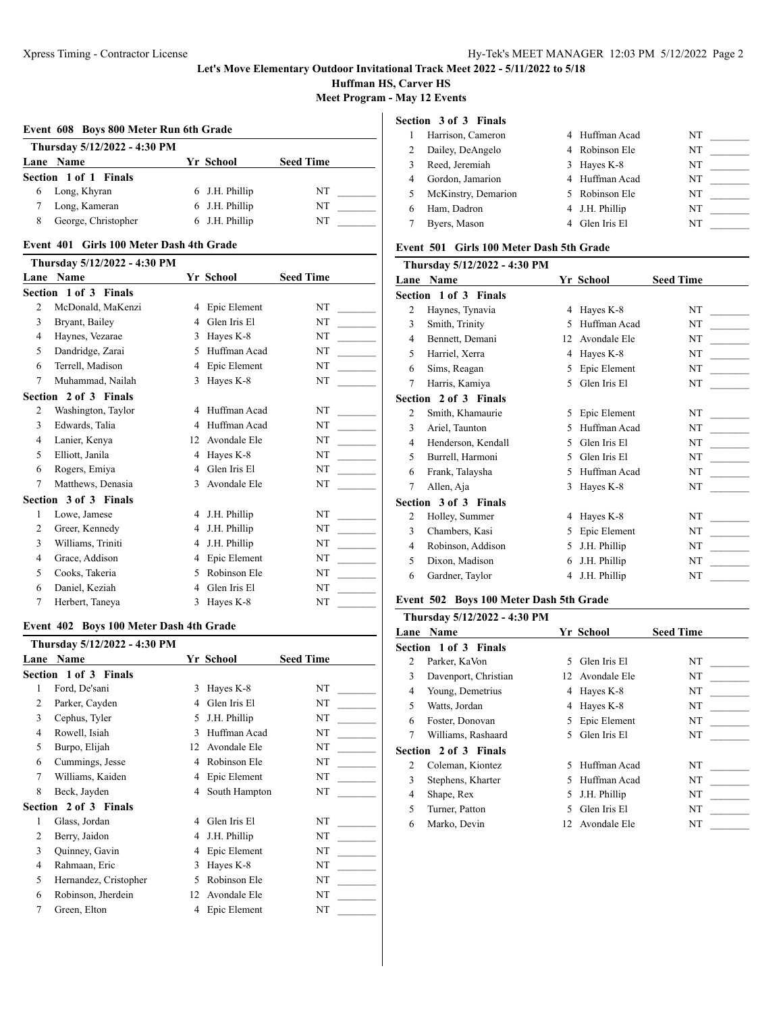**Let's Move Elementary Outdoor Invitational Track Meet 2022 - 5/11/2022 to 5/18**

**Huffman HS, Carver HS**

**Meet Program - May 12 Events**

# **Event 608 Boys 800 Meter Run 6th Grade**

| Thursday 5/12/2022 - 4:30 PM |                       |                |                  |  |  |  |
|------------------------------|-----------------------|----------------|------------------|--|--|--|
|                              | Lane Name             | Yr School      | <b>Seed Time</b> |  |  |  |
|                              | Section 1 of 1 Finals |                |                  |  |  |  |
| 6                            | Long, Khyran          | 6 J.H. Phillip | NT               |  |  |  |
|                              | Long, Kameran         | 6 J.H. Phillip | NT               |  |  |  |
|                              | George, Christopher   | 6 J.H. Phillip | NT               |  |  |  |

#### **Event 401 Girls 100 Meter Dash 4th Grade**

|                | Thursday 5/12/2022 - 4:30 PM |              |              |                  |
|----------------|------------------------------|--------------|--------------|------------------|
| Lane           | Name                         |              | Yr School    | <b>Seed Time</b> |
|                | Section 1 of 3 Finals        |              |              |                  |
| $\overline{c}$ | McDonald, MaKenzi            | 4            | Epic Element | NT               |
| 3              | Bryant, Bailey               | 4            | Glen Iris El | NT               |
| 4              | Haynes, Vezarae              | 3            | Hayes K-8    | NT               |
| 5              | Dandridge, Zarai             | 5            | Huffman Acad | NT               |
| 6              | Terrell, Madison             | 4            | Epic Element | NT               |
| 7              | Muhammad, Nailah             | 3            | Hayes K-8    | NT               |
|                | Section 2 of 3 Finals        |              |              |                  |
| 2              | Washington, Taylor           | 4            | Huffman Acad | NT               |
| 3              | Edwards, Talia               | 4            | Huffman Acad | NT               |
| 4              | Lanier, Kenya                | 12           | Avondale Ele | NT               |
| 5              | Elliott, Janila              | 4            | Hayes K-8    | NT               |
| 6              | Rogers, Emiya                | 4            | Glen Iris El | NT               |
| 7              | Matthews, Denasia            | $\mathbf{3}$ | Avondale Ele | NT               |
|                | Section 3 of 3 Finals        |              |              |                  |
| 1              | Lowe, Jamese                 | 4            | J.H. Phillip | NT               |
| 2              | Greer, Kennedy               | 4            | J.H. Phillip | NT               |
| 3              | Williams, Triniti            | 4            | J.H. Phillip | NT               |
| 4              | Grace, Addison               | 4            | Epic Element | NT               |
| 5              | Cooks, Takeria               | 5            | Robinson Ele | NT               |
| 6              | Daniel, Keziah               | 4            | Glen Iris El | NT               |
| 7              | Herbert, Taneya              | 3            | Hayes K-8    | NT               |

#### **Event 402 Boys 100 Meter Dash 4th Grade**

|                | Thursday 5/12/2022 - 4:30 PM |    |               |                  |
|----------------|------------------------------|----|---------------|------------------|
|                | Lane Name                    |    | Yr School     | <b>Seed Time</b> |
|                | Section 1 of 3 Finals        |    |               |                  |
| 1              | Ford, De'sani                | 3  | Hayes K-8     | NT               |
| $\overline{c}$ | Parker, Cayden               | 4  | Glen Iris El  | NT               |
| 3              | Cephus, Tyler                | 5  | J.H. Phillip  | NT               |
| 4              | Rowell, Isiah                | 3  | Huffman Acad  | NT               |
| 5              | Burpo, Elijah                | 12 | Avondale Ele  | NT               |
| 6              | Cummings, Jesse              | 4  | Robinson Ele  | NT               |
| 7              | Williams, Kaiden             | 4  | Epic Element  | NT               |
| 8              | Beck, Jayden                 | 4  | South Hampton | NT               |
|                | Section 2 of 3 Finals        |    |               |                  |
| 1              | Glass, Jordan                | 4  | Glen Iris El  | NT               |
| 2              | Berry, Jaidon                | 4  | J.H. Phillip  | NT               |
| 3              | Quinney, Gavin               | 4  | Epic Element  | NT               |
| 4              | Rahmaan, Eric                | 3  | Hayes K-8     | NT               |
| 5              | Hernandez, Cristopher        | 5  | Robinson Ele  | NT               |
| 6              | Robinson, Jherdein           | 12 | Avondale Ele  | NT               |
| 7              | Green, Elton                 | 4  | Epic Element  | NT               |
|                |                              |    |               |                  |

#### **Section 3 of 3 Finals**

| Harrison, Cameron   | 4 Huffman Acad | NT |
|---------------------|----------------|----|
| Dailey, DeAngelo    | 4 Robinson Ele | NT |
| Reed, Jeremiah      | 3 Hayes K-8    | NT |
| Gordon, Jamarion    | 4 Huffman Acad | NT |
| McKinstry, Demarion | 5 Robinson Ele | NT |
| Ham, Dadron         | 4 J.H. Phillip | NT |
| Byers, Mason        | 4 Glen Iris El | NT |

#### **Event 501 Girls 100 Meter Dash 5th Grade**

|                | Thursday 5/12/2022 - 4:30 PM |    |              |                  |
|----------------|------------------------------|----|--------------|------------------|
|                | <b>Lane Name</b>             |    | Yr School    | <b>Seed Time</b> |
|                | <b>Section 1 of 3 Finals</b> |    |              |                  |
| 2              | Haynes, Tynavia              | 4  | Hayes K-8    | NT               |
| 3              | Smith, Trinity               | 5  | Huffman Acad | NT               |
| 4              | Bennett, Demani              | 12 | Avondale Ele | NT               |
| 5              | Harriel, Xerra               | 4  | Hayes K-8    | NT               |
| 6              | Sims, Reagan                 | 5  | Epic Element | NT               |
| 7              | Harris, Kamiya               | 5  | Glen Iris El | NT               |
|                | <b>Section 2 of 3 Finals</b> |    |              |                  |
| $\overline{2}$ | Smith, Khamaurie             | 5  | Epic Element | NT               |
| 3              | Ariel, Taunton               | 5  | Huffman Acad | NT               |
| 4              | Henderson, Kendall           | 5  | Glen Iris El | NT               |
| 5              | Burrell, Harmoni             | 5  | Glen Iris El | NT               |
| 6              | Frank, Talaysha              | 5  | Huffman Acad | NT               |
| 7              | Allen, Aja                   | 3  | Hayes K-8    | NT               |
|                | <b>Section 3 of 3 Finals</b> |    |              |                  |
| 2              | Holley, Summer               | 4  | Hayes K-8    | NT               |
| 3              | Chambers, Kasi               | 5  | Epic Element | NT               |
| 4              | Robinson, Addison            | 5  | J.H. Phillip | NT               |
| 5              | Dixon, Madison               | 6  | J.H. Phillip | NT               |
| 6              | Gardner, Taylor              | 4  | J.H. Phillip | NT               |
|                |                              |    |              |                  |

### **Event 502 Boys 100 Meter Dash 5th Grade**

| Thursday 5/12/2022 - 4:30 PM |    |              |                                          |
|------------------------------|----|--------------|------------------------------------------|
| <b>Lane Name</b>             |    |              | <b>Seed Time</b>                         |
| <b>Section 1 of 3 Finals</b> |    |              |                                          |
| Parker, KaVon                | 5. | Glen Iris El | NT                                       |
| Davenport, Christian         |    |              | NT                                       |
| Young, Demetrius             | 4  | Hayes K-8    | NT                                       |
| Watts, Jordan                | 4  | Hayes K-8    | NT                                       |
| Foster, Donovan              |    | Epic Element | NT                                       |
| Williams, Rashaard           | 5. | Glen Iris El | NT                                       |
| <b>Section 2 of 3 Finals</b> |    |              |                                          |
| Coleman, Kiontez             | 5  | Huffman Acad | NT                                       |
| Stephens, Kharter            | 5  | Huffman Acad | NT                                       |
| Shape, Rex                   | 5. | J.H. Phillip | NT                                       |
| Turner, Patton               | 5  | Glen Iris El | NT                                       |
| Marko, Devin                 |    | Avondale Ele | NT                                       |
|                              |    |              | Yr School<br>12 Avondale Ele<br>5.<br>12 |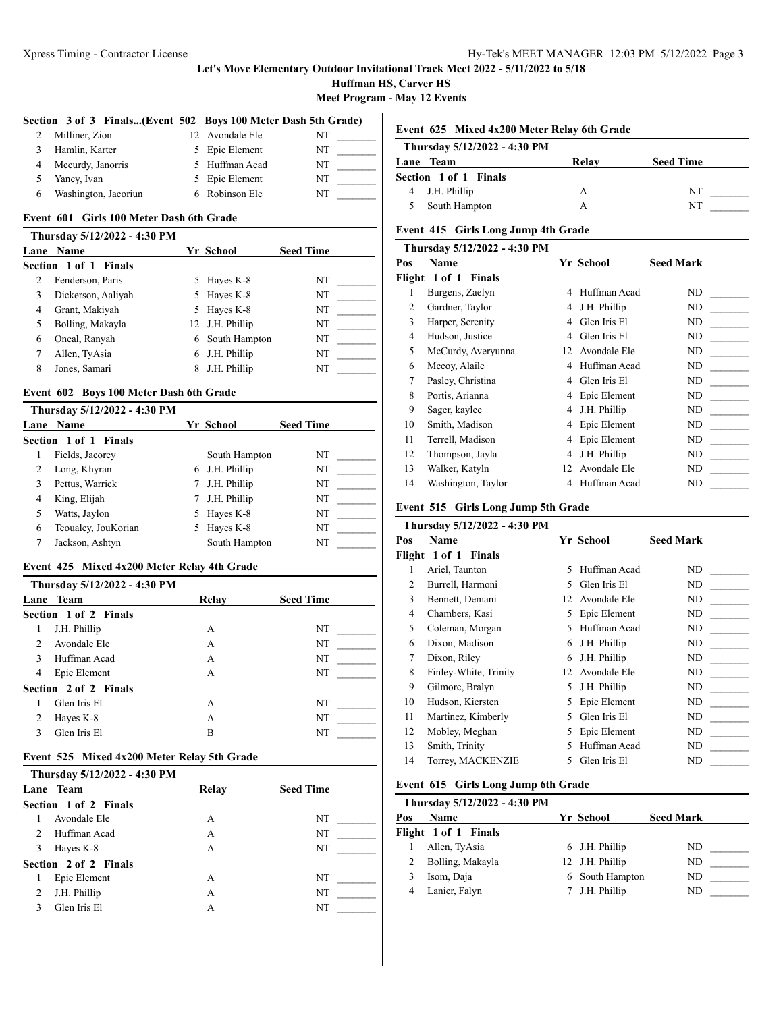# **Let's Move Elementary Outdoor Invitational Track Meet 2022 - 5/11/2022 to 5/18**

**Huffman HS, Carver HS**

**Meet Program - May 12 Events**

# **Section 3 of 3 Finals...(Event 502 Boys 100 Meter Dash 5th Grade)**

| 2 | Milliner, Zion       | 12 Avondale Ele | NT |  |
|---|----------------------|-----------------|----|--|
|   | 3 Hamlin, Karter     | 5 Epic Element  | NT |  |
|   | 4 Mccurdy, Janorris  | 5 Huffman Acad  | NT |  |
|   | 5 Yancy, Ivan        | 5 Epic Element  | NT |  |
| 6 | Washington, Jacoriun | 6 Robinson Ele  | NT |  |

#### **Event 601 Girls 100 Meter Dash 6th Grade**

|   | Thursday 5/12/2022 - 4:30 PM |    |                 |                  |
|---|------------------------------|----|-----------------|------------------|
|   | Lane Name                    |    | Yr School       | <b>Seed Time</b> |
|   | Section 1 of 1 Finals        |    |                 |                  |
| 2 | Fenderson, Paris             | 5. | Hayes K-8       | NT               |
| 3 | Dickerson, Aaliyah           | 5. | Hayes K-8       | NT               |
| 4 | Grant, Makiyah               | 5. | Hayes K-8       | NT               |
| 5 | Bolling, Makayla             |    | 12 J.H. Phillip | NT               |
| 6 | Oneal, Ranyah                | 6  | South Hampton   | NT               |
|   | Allen, TyAsia                | 6  | J.H. Phillip    | NT               |
| 8 | Jones, Samari                | 8  | J.H. Phillip    | NT               |

# **Event 602 Boys 100 Meter Dash 6th Grade**

|   | Thursday 5/12/2022 - 4:30 PM |    |               |                  |
|---|------------------------------|----|---------------|------------------|
|   | Lane Name                    |    | Yr School     | <b>Seed Time</b> |
|   | Section 1 of 1 Finals        |    |               |                  |
|   | Fields, Jacorey              |    | South Hampton | NT               |
| 2 | Long, Khyran                 | 6  | J.H. Phillip  | NT               |
| 3 | Pettus, Warrick              |    | J.H. Phillip  | NT               |
| 4 | King, Elijah                 |    | J.H. Phillip  | NT               |
| 5 | Watts, Jaylon                | 5. | Hayes K-8     | NT               |
| 6 | Teoualey, JouKorian          | 5. | Hayes K-8     | NT               |
|   | Jackson, Ashtyn              |    | South Hampton | NT               |

#### **Event 425 Mixed 4x200 Meter Relay 4th Grade**

|                | Thursday 5/12/2022 - 4:30 PM |       |                  |
|----------------|------------------------------|-------|------------------|
|                | Lane Team                    | Relay | <b>Seed Time</b> |
|                | Section 1 of 2 Finals        |       |                  |
| 1              | J.H. Phillip                 | A     | NT               |
| $\mathfrak{D}$ | Avondale Ele                 | А     | NT               |
| $\mathbf{3}$   | Huffman Acad                 | A     | NT               |
| 4              | Epic Element                 | А     | NT               |
|                | Section 2 of 2 Finals        |       |                  |
|                | Glen Iris El                 | A     | NT               |
| 2              | Hayes K-8                    | A     | NT               |
| 3              | Glen Iris El                 | В     | NT               |
|                |                              |       |                  |

### **Event 525 Mixed 4x200 Meter Relay 5th Grade**

| Thursday 5/12/2022 - 4:30 PM   |       |                  |
|--------------------------------|-------|------------------|
| Lane Team                      | Relay | <b>Seed Time</b> |
| Section 1 of 2 Finals          |       |                  |
| Avondale Ele                   | A     | NT               |
| $\mathfrak{D}$<br>Huffman Acad | A     | NT               |
| 3<br>Hayes K-8                 | A     | NT               |
| Section 2 of 2 Finals          |       |                  |
| Epic Element                   | A     | NT               |
| J.H. Phillip<br>2              | А     | NT               |
| Glen Iris El                   | А     | NT               |
|                                |       |                  |

# **Event 625 Mixed 4x200 Meter Relay 6th Grade**

| Thursday 5/12/2022 - 4:30 PM |       |                  |
|------------------------------|-------|------------------|
| Lane Team                    | Relav | <b>Seed Time</b> |
| Section 1 of 1 Finals        |       |                  |
| 4 J.H. Phillip               | А     | NT               |
| South Hampton                |       | NT               |

#### **Event 415 Girls Long Jump 4th Grade**

|     | Thursday 5/12/2022 - 4:30 PM |    |              |                  |
|-----|------------------------------|----|--------------|------------------|
| Pos | <b>Name</b>                  |    | Yr School    | <b>Seed Mark</b> |
|     | Flight 1 of 1 Finals         |    |              |                  |
| 1   | Burgens, Zaelyn              | 4  | Huffman Acad | ND               |
| 2   | Gardner, Taylor              | 4  | J.H. Phillip | ND               |
| 3   | Harper, Serenity             | 4  | Glen Iris El | ND               |
| 4   | Hudson, Justice              | 4  | Glen Iris El | ND               |
| 5   | McCurdy, Averyunna           | 12 | Avondale Ele | ND               |
| 6   | Mccoy, Alaile                | 4  | Huffman Acad | ND               |
| 7   | Pasley, Christina            | 4  | Glen Iris El | ND               |
| 8   | Portis, Arianna              | 4  | Epic Element | ND               |
| 9   | Sager, kaylee                | 4  | J.H. Phillip | ND               |
| 10  | Smith, Madison               | 4  | Epic Element | ND               |
| 11  | Terrell, Madison             | 4  | Epic Element | ND               |
| 12  | Thompson, Jayla              | 4  | J.H. Phillip | ND               |
| 13  | Walker, Katyln               | 12 | Avondale Ele | ND               |
| 14  | Washington, Taylor           | 4  | Huffman Acad | ND               |

### **Event 515 Girls Long Jump 5th Grade**

|     | Thursday 5/12/2022 - 4:30 PM |    |              |                  |
|-----|------------------------------|----|--------------|------------------|
| Pos | <b>Name</b>                  |    | Yr School    | <b>Seed Mark</b> |
|     | Flight 1 of 1 Finals         |    |              |                  |
| 1   | Ariel, Taunton               | 5  | Huffman Acad | ND               |
| 2   | Burrell, Harmoni             | 5  | Glen Iris El | ND               |
| 3   | Bennett, Demani              | 12 | Avondale Ele | ND               |
| 4   | Chambers, Kasi               | 5  | Epic Element | ND               |
| 5   | Coleman, Morgan              | 5  | Huffman Acad | ND               |
| 6   | Dixon, Madison               | 6  | J.H. Phillip | ND               |
| 7   | Dixon, Riley                 | 6  | J.H. Phillip | ND               |
| 8   | Finley-White, Trinity        | 12 | Avondale Ele | ND               |
| 9   | Gilmore, Bralyn              | 5  | J.H. Phillip | ND               |
| 10  | Hudson, Kiersten             | 5  | Epic Element | ND               |
| 11  | Martinez, Kimberly           | 5  | Glen Iris El | ND               |
| 12  | Mobley, Meghan               | 5  | Epic Element | ND               |
| 13  | Smith, Trinity               | 5  | Huffman Acad | ND               |
| 14  | Torrey, MACKENZIE            | 5  | Glen Iris El | ND               |
|     |                              |    |              |                  |

#### **Event 615 Girls Long Jump 6th Grade**

|     | Thursday 5/12/2022 - 4:30 PM |                 |                  |  |
|-----|------------------------------|-----------------|------------------|--|
| Pos | <b>Name</b>                  | Yr School       | <b>Seed Mark</b> |  |
|     | Flight 1 of 1 Finals         |                 |                  |  |
|     | Allen, TyAsia                | 6 J.H. Phillip  | ND               |  |
|     | Bolling, Makayla             | 12 J.H. Phillip | ND               |  |
|     | Isom, Daja                   | 6 South Hampton | ND               |  |
|     | Lanier, Falyn                | 7 J.H. Phillip  | ND               |  |